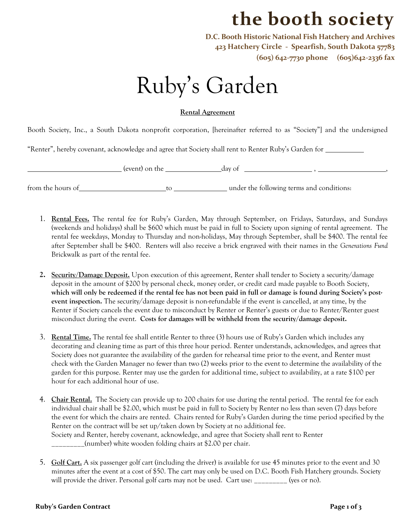## **the booth society**

**D.C. Booth Historic National Fish Hatchery and Archives 423 Hatchery Circle - Spearfish, South Dakota 57783 (605) 642-7730 phone (605)642-2336 fax**

## Ruby's Garden

## **Rental Agreement**

Booth Society, Inc., a South Dakota nonprofit corporation, [hereinafter referred to as "Society"] and the undersigned

"Renter", hereby covenant, acknowledge and agree that Society shall rent to Renter Ruby's Garden for

(event) on the day of , ,

from the hours of to to under the following terms and conditions:

- 1. **Rental Fees.** The rental fee for Ruby's Garden, May through September, on Fridays, Saturdays, and Sundays (weekends and holidays) shall be \$600 which must be paid in full to Society upon signing of rental agreement. The rental fee weekdays, Monday to Thursday and non-holidays, May through September, shall be \$400. The rental fee after September shall be \$400. Renters will also receive a brick engraved with their names in the *Generations Fund* Brickwalk as part of the rental fee.
- **2. Security/Damage Deposit.** Upon execution of this agreement, Renter shall tender to Society a security/damage deposit in the amount of \$200 by personal check, money order, or credit card made payable to Booth Society, **which will only be redeemed if the rental fee has not been paid in full or damage is found during Society's postevent inspection.** The security/damage deposit is non-refundable if the event is cancelled, at any time, by the Renter if Society cancels the event due to misconduct by Renter or Renter's guests or due to Renter/Renter guest misconduct during the event. **Costs for damages will be withheld from the security/damage deposit.**
- 3. **Rental Time.** The rental fee shall entitle Renter to three (3) hours use of Ruby's Garden which includes any decorating and cleaning time as part of this three hour period. Renter understands, acknowledges, and agrees that Society does not guarantee the availability of the garden for rehearsal time prior to the event, and Renter must check with the Garden Manager no fewer than two (2) weeks prior to the event to determine the availability of the garden for this purpose. Renter may use the garden for additional time, subject to availability, at a rate \$100 per hour for each additional hour of use.
- 4. **Chair Rental.** The Society can provide up to 200 chairs for use during the rental period. The rental fee for each individual chair shall be \$2.00, which must be paid in full to Society by Renter no less than seven (7) days before the event for which the chairs are rented. Chairs rented for Ruby's Garden during the time period specified by the Renter on the contract will be set up/taken down by Society at no additional fee. Society and Renter, hereby covenant, acknowledge, and agree that Society shall rent to Renter \_\_\_\_\_\_\_\_\_(number) white wooden folding chairs at \$2.00 per chair.
- 5. **Golf Cart.** A six passenger golf cart (including the driver) is available for use 45 minutes prior to the event and 30 minutes after the event at a cost of \$50. The cart may only be used on D.C. Booth Fish Hatchery grounds. Society will provide the driver. Personal golf carts may not be used. Cart use: \_\_\_\_\_\_\_\_\_ (yes or no).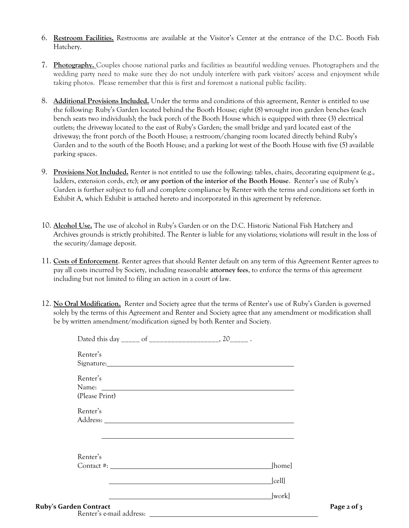- 6. **Restroom Facilities.** Restrooms are available at the Visitor's Center at the entrance of the D.C. Booth Fish Hatchery.
- 7. **Photography.** Couples choose national parks and facilities as beautiful wedding venues. Photographers and the wedding party need to make sure they do not unduly interfere with park visitors' access and enjoyment while taking photos. Please remember that this is first and foremost a national public facility.
- 8. **Additional Provisions Included.** Under the terms and conditions of this agreement, Renter is entitled to use the following: Ruby's Garden located behind the Booth House; eight (8) wrought iron garden benches (each bench seats two individuals); the back porch of the Booth House which is equipped with three (3) electrical outlets; the driveway located to the east of Ruby's Garden; the small bridge and yard located east of the driveway; the front porch of the Booth House; a restroom/changing room located directly behind Ruby's Garden and to the south of the Booth House; and a parking lot west of the Booth House with five (5) available parking spaces.
- 9. **Provisions Not Included.** Renter is not entitled to use the following: tables, chairs, decorating equipment (e.g., ladders, extension cords, etc); **or any portion of the interior of the Booth House**. Renter's use of Ruby's Garden is further subject to full and complete compliance by Renter with the terms and conditions set forth in Exhibit A, which Exhibit is attached hereto and incorporated in this agreement by reference.
- 10. **Alcohol Use.** The use of alcohol in Ruby's Garden or on the D.C. Historic National Fish Hatchery and Archives grounds is strictly prohibited. The Renter is liable for any violations; violations will result in the loss of the security/damage deposit.
- 11. **Costs of Enforcement**. Renter agrees that should Renter default on any term of this Agreement Renter agrees to pay all costs incurred by Society, including reasonable **attorney fees**, to enforce the terms of this agreement including but not limited to filing an action in a court of law.
- 12. **No Oral Modification.** Renter and Society agree that the terms of Renter's use of Ruby's Garden is governed solely by the terms of this Agreement and Renter and Society agree that any amendment or modification shall be by written amendment/modification signed by both Renter and Society.

| Renter's<br>Signature: Signature and Signature and Signature and Signature and Signature and Signature and Signature and Signature and Signature and Signature and Signature and Signature and Signature and Signature and Signature and S |                  |             |
|--------------------------------------------------------------------------------------------------------------------------------------------------------------------------------------------------------------------------------------------|------------------|-------------|
| Renter's<br>(Please Print)                                                                                                                                                                                                                 |                  |             |
| Renter's                                                                                                                                                                                                                                   |                  |             |
| Renter's                                                                                                                                                                                                                                   | [home]           |             |
|                                                                                                                                                                                                                                            | [cell]<br>[work] |             |
| <b>Ruby's Garden Contract</b><br>.                                                                                                                                                                                                         |                  | Page 2 of 3 |

Renter's e-mail address: